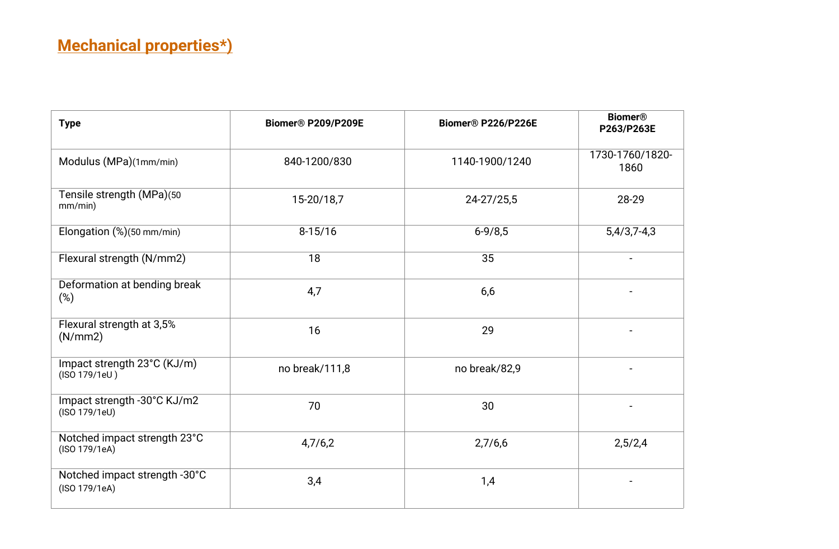| <b>Type</b>                                    | <b>Biomer® P209/P209E</b> | <b>Biomer® P226/P226E</b> | <b>Biomer®</b><br>P263/P263E |
|------------------------------------------------|---------------------------|---------------------------|------------------------------|
| Modulus (MPa)(1mm/min)                         | 840-1200/830              | 1140-1900/1240            | 1730-1760/1820-<br>1860      |
| Tensile strength (MPa)(50<br>mm/min)           | 15-20/18,7                | 24-27/25,5                | 28-29                        |
| Elongation (%)(50 mm/min)                      | $8-15/16$                 | $6 - 9/8, 5$              | $5,4/3,7-4,3$                |
| Flexural strength (N/mm2)                      | 18                        | 35                        | $\blacksquare$               |
| Deformation at bending break<br>$(\%)$         | 4,7                       | 6,6                       |                              |
| Flexural strength at 3,5%<br>(N/mm 2)          | 16                        | 29                        |                              |
| Impact strength 23°C (KJ/m)<br>(ISO 179/1eU)   | no break/111,8            | no break/82,9             |                              |
| Impact strength -30°C KJ/m2<br>(ISO 179/1eU)   | 70                        | 30                        |                              |
| Notched impact strength 23°C<br>(ISO 179/1eA)  | 4,7/6,2                   | 2,7/6,6                   | 2,5/2,4                      |
| Notched impact strength -30°C<br>(ISO 179/1eA) | 3,4                       | 1,4                       |                              |